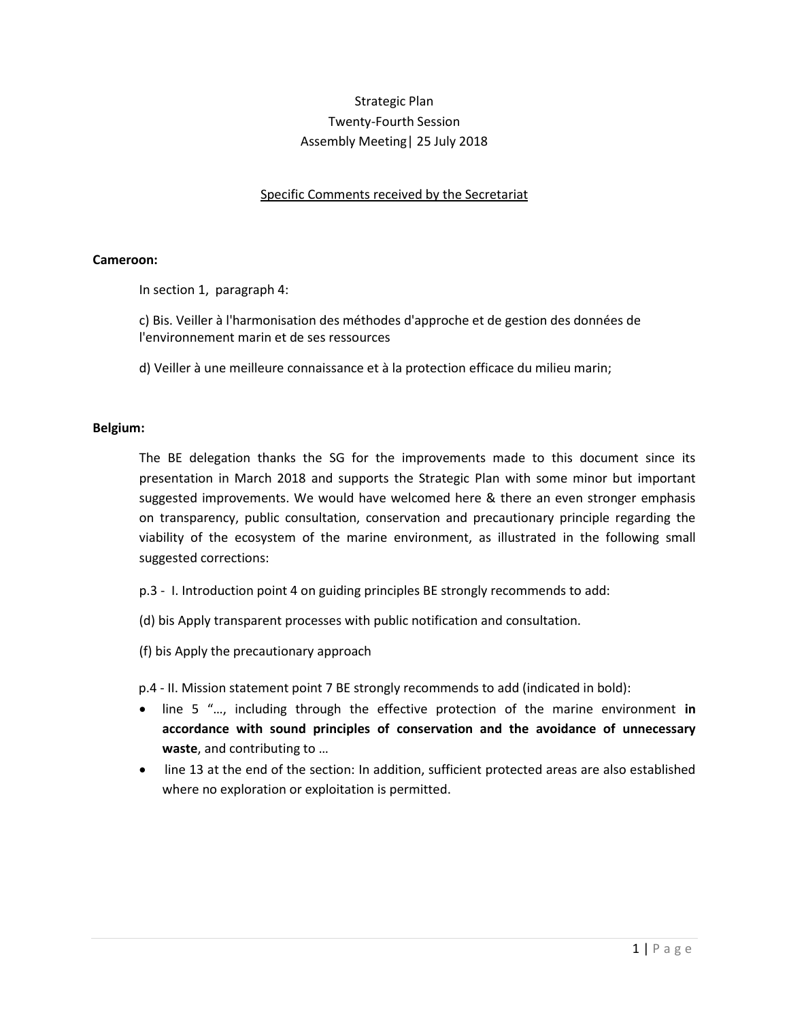# Strategic Plan Twenty-Fourth Session Assembly Meeting| 25 July 2018

Specific Comments received by the Secretariat

## **Cameroon:**

In section 1, paragraph 4:

c) Bis. Veiller à l'harmonisation des méthodes d'approche et de gestion des données de l'environnement marin et de ses ressources

d) Veiller à une meilleure connaissance et à la protection efficace du milieu marin;

## **Belgium:**

The BE delegation thanks the SG for the improvements made to this document since its presentation in March 2018 and supports the Strategic Plan with some minor but important suggested improvements. We would have welcomed here & there an even stronger emphasis on transparency, public consultation, conservation and precautionary principle regarding the viability of the ecosystem of the marine environment, as illustrated in the following small suggested corrections:

p.3 - I. Introduction point 4 on guiding principles BE strongly recommends to add:

(d) bis Apply transparent processes with public notification and consultation.

(f) bis Apply the precautionary approach

p.4 - II. Mission statement point 7 BE strongly recommends to add (indicated in bold):

- line 5 "..., including through the effective protection of the marine environment in **accordance with sound principles of conservation and the avoidance of unnecessary waste**, and contributing to ...
- line 13 at the end of the section: In addition, sufficient protected areas are also established where no exploration or exploitation is permitted.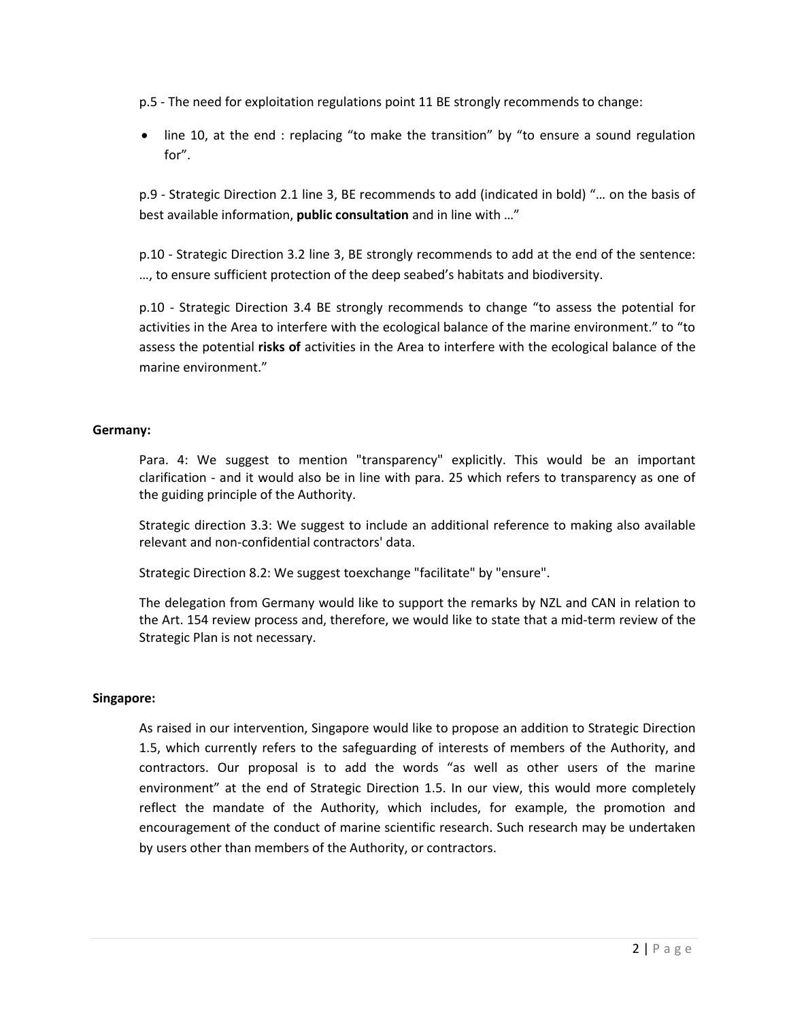p.5 - The need for exploitation regulations point 11 BE strongly recommends to change:

line 10, at the end : replacing "to make the transition" by "to ensure a sound regulation for".

p.9 - Strategic Direction 2.1 line 3, BE recommends to add (indicated in bold) "... on the basis of best available information, **public consultation** and in line with ..."

p.10 - Strategic Direction 3.2 line 3, BE strongly recommends to add at the end of the sentence: ..., to ensure sufficient protection of the deep seabed's habitats and biodiversity.

p.10 - Strategic Direction 3.4 BE strongly recommends to change "to assess the potential for activities in the Area to interfere with the ecological balance of the marine environment." to "to assess the potential **risks of** activities in the Area to interfere with the ecological balance of the marine environment."

## **Germany:**

Para. 4: We suggest to mention "transparency" explicitly. This would be an important clarification - and it would also be in line with para. 25 which refers to transparency as one of the guiding principle of the Authority.

Strategic direction 3.3: We suggest to include an additional reference to making also available relevant and non-confidential contractors' data.

Strategic Direction 8.2: We suggest toexchange "facilitate" by "ensure".

The delegation from Germany would like to support the remarks by NZL and CAN in relation to the Art. 154 review process and, therefore, we would like to state that a mid-term review of the Strategic Plan is not necessary.

## **Singapore:**

As raised in our intervention, Singapore would like to propose an addition to Strategic Direction 1.5, which currently refers to the safeguarding of interests of members of the Authority, and contractors. Our proposal is to add the words "as well as other users of the marine environment" at the end of Strategic Direction 1.5. In our view, this would more completely reflect the mandate of the Authority, which includes, for example, the promotion and encouragement of the conduct of marine scientific research. Such research may be undertaken by users other than members of the Authority, or contractors.